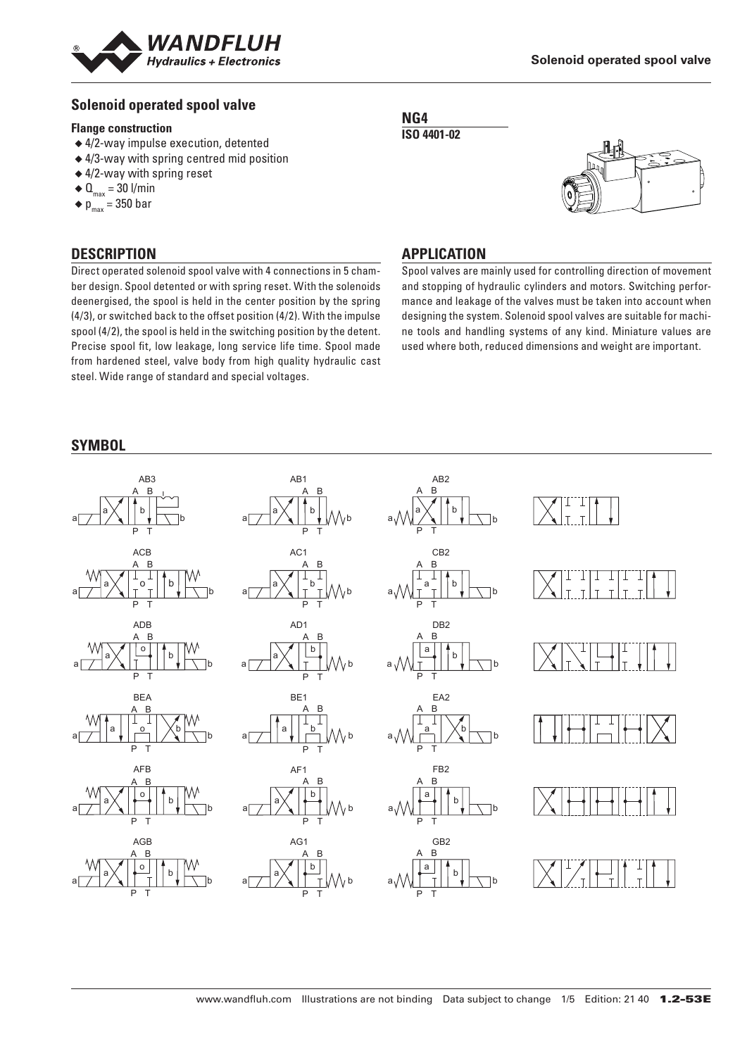

# **Solenoid operated spool valve**

#### **Flange construction**

- ◆ 4/2-way impulse execution, detented
- ◆ 4/3-way with spring centred mid position
- ◆ 4/2-way with spring reset
- $\triangleleft$  Q<sub>max</sub> = 30 l/min
- $\bullet$  p<sub>max</sub> = 350 bar

# **DESCRIPTION**

Direct operated solenoid spool valve with 4 connections in 5 chamber design. Spool detented or with spring reset. With the solenoids deenergised, the spool is held in the center position by the spring (4/3), or switched back to the offset position (4/2). With the impulse spool (4/2), the spool is held in the switching position by the detent. Precise spool fit, low leakage, long service life time. Spool made from hardened steel, valve body from high quality hydraulic cast steel. Wide range of standard and special voltages.





# **APPLICATION**

Spool valves are mainly used for controlling direction of movement and stopping of hydraulic cylinders and motors. Switching performance and leakage of the valves must be taken into account when designing the system. Solenoid spool valves are suitable for machine tools and handling systems of any kind. Miniature values are used where both, reduced dimensions and weight are important.

# **SYMBOL**

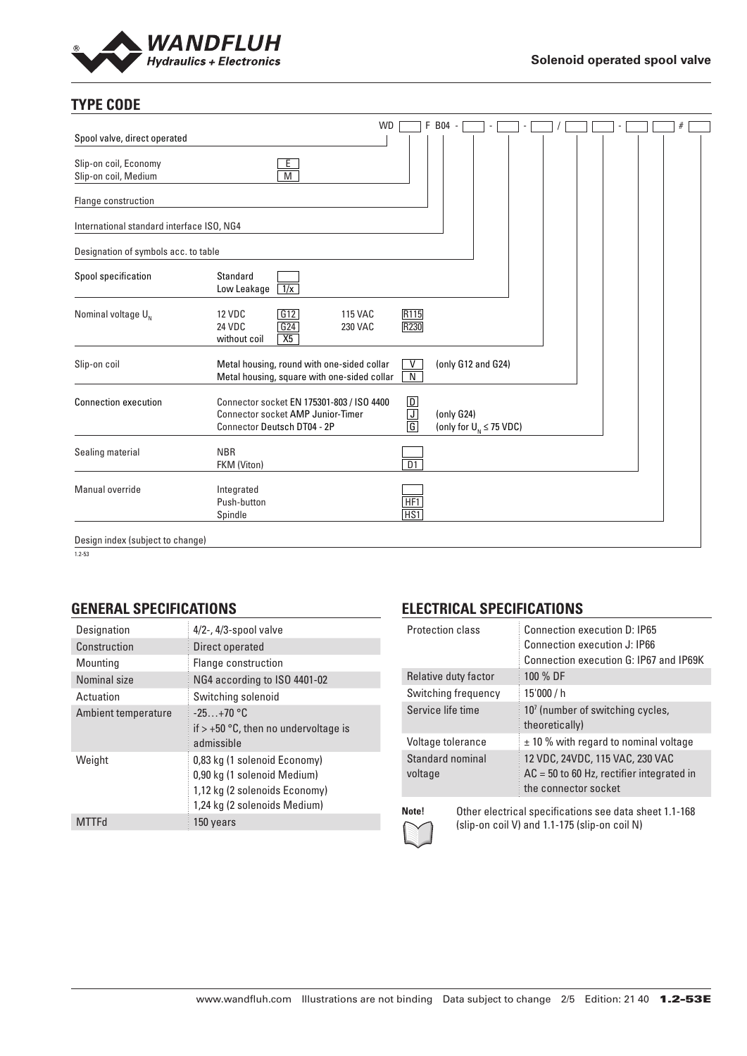

# **TYPE CODE**

|                                               |                                                                                                                      | <b>WD</b>                                            | F B04 -                                      |  |  |  |
|-----------------------------------------------|----------------------------------------------------------------------------------------------------------------------|------------------------------------------------------|----------------------------------------------|--|--|--|
| Spool valve, direct operated                  |                                                                                                                      |                                                      |                                              |  |  |  |
| Slip-on coil, Economy<br>Slip-on coil, Medium | Ε<br>M                                                                                                               |                                                      |                                              |  |  |  |
| Flange construction                           |                                                                                                                      |                                                      |                                              |  |  |  |
| International standard interface ISO, NG4     |                                                                                                                      |                                                      |                                              |  |  |  |
| Designation of symbols acc. to table          |                                                                                                                      |                                                      |                                              |  |  |  |
| Spool specification                           | Standard<br>Low Leakage<br>$\sqrt{1/x}$                                                                              |                                                      |                                              |  |  |  |
| Nominal voltage U <sub>N</sub>                | G12<br><b>12 VDC</b><br><b>115 VAC</b><br>G24<br><b>24 VDC</b><br>230 VAC<br>X5<br>without coil                      | R <sub>115</sub><br><b>R230</b>                      |                                              |  |  |  |
| Slip-on coil                                  | Metal housing, round with one-sided collar<br>Metal housing, square with one-sided collar                            | V<br>N                                               | (only G12 and G24)                           |  |  |  |
| <b>Connection execution</b>                   | Connector socket EN 175301-803 / ISO 4400<br><b>Connector socket AMP Junior-Timer</b><br>Connector Deutsch DT04 - 2P | $\boxed{\mathsf{D}}$<br>$\overline{\mathsf{J}}$<br>G | (only G24)<br>(only for $U_{N} \leq 75$ VDC) |  |  |  |
| Sealing material                              | <b>NBR</b><br>FKM (Viton)                                                                                            | $\overline{D1}$                                      |                                              |  |  |  |
| Manual override                               | Integrated<br>Push-button<br>Spindle                                                                                 | HF <sub>1</sub><br>HS1                               |                                              |  |  |  |
| Design index (subject to change)              |                                                                                                                      |                                                      |                                              |  |  |  |

 $1.2 - 53$ 

# **GENERAL SPECIFICATIONS**

| Designation         | $4/2$ -, $4/3$ -spool valve                                                                                                  |
|---------------------|------------------------------------------------------------------------------------------------------------------------------|
| Construction        | Direct operated                                                                                                              |
| Mounting            | Flange construction                                                                                                          |
| Nominal size        | NG4 according to ISO 4401-02                                                                                                 |
| Actuation           | Switching solenoid                                                                                                           |
| Ambient temperature | $-25+70$ °C<br>if $> +50$ °C, then no undervoltage is<br>admissible                                                          |
| Weight              | 0,83 kg (1 solenoid Economy)<br>0,90 kg (1 solenoid Medium)<br>1,12 kg (2 solenoids Economy)<br>1,24 kg (2 solenoids Medium) |
| <b>MTTFd</b>        | 150 years                                                                                                                    |

# **ELECTRICAL SPECIFICATIONS**

| <b>Protection class</b>                                         | Connection execution D: IP65<br>Connection execution J: IP66<br>Connection execution G: IP67 and IP69K |  |  |
|-----------------------------------------------------------------|--------------------------------------------------------------------------------------------------------|--|--|
| Relative duty factor                                            | 100 % DF                                                                                               |  |  |
| Switching frequency                                             | 15'000 / h                                                                                             |  |  |
| Service life time                                               | 10 <sup>7</sup> (number of switching cycles,<br>theoretically)                                         |  |  |
| Voltage tolerance                                               | $±$ 10 % with regard to nominal voltage                                                                |  |  |
| Standard nominal<br>voltage                                     | 12 VDC, 24VDC, 115 VAC, 230 VAC<br>$AC = 50$ to 60 Hz, rectifier integrated in<br>the connector socket |  |  |
| Note!<br>Other electrical specifications see data sheet 1.1-168 |                                                                                                        |  |  |



(slip-on coil V) and 1.1-175 (slip-on coil N)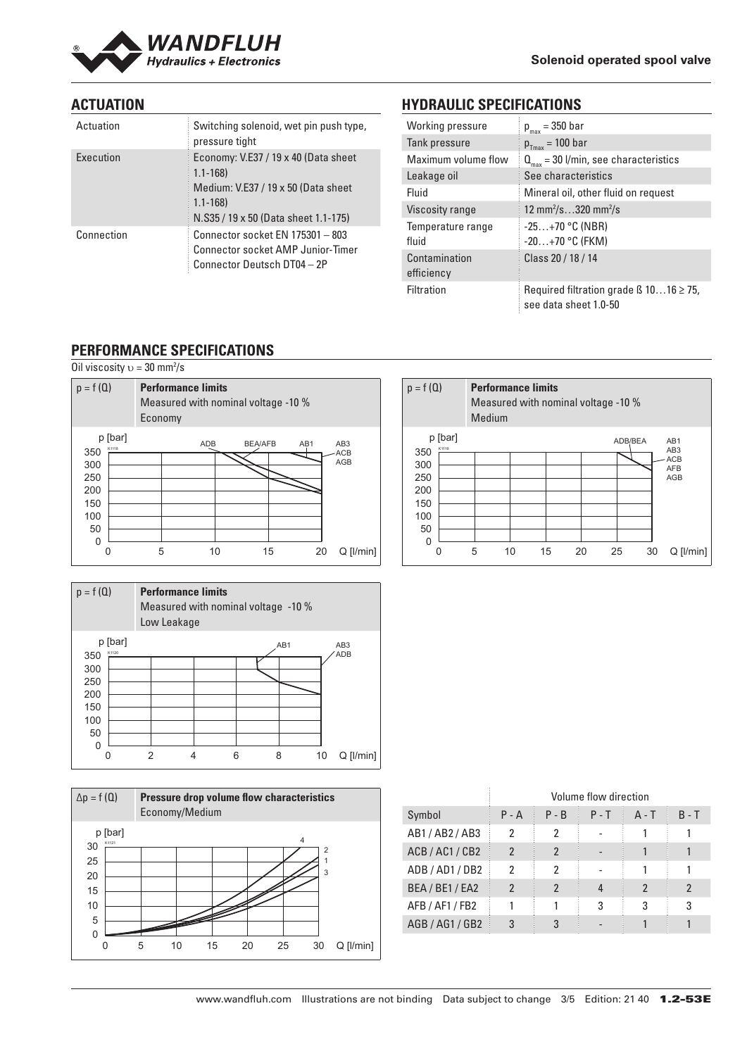

# **ACTUATION**

| Actuation  | Switching solenoid, wet pin push type,<br>pressure tight                                                                                          |
|------------|---------------------------------------------------------------------------------------------------------------------------------------------------|
| Execution  | Economy: V.E37 / 19 x 40 (Data sheet<br>$1.1 - 168$<br>Medium: V.E37 / 19 x 50 (Data sheet<br>$1.1 - 168$<br>N.S35 / 19 x 50 (Data sheet 1.1-175) |
| Connection | Connector socket EN 175301 - 803<br><b>Connector socket AMP Junior-Timer</b><br>Connector Deutsch DT04 - 2P                                       |

# **HYDRAULIC SPECIFICATIONS**

| Working pressure            | $p_{max} = 350$ bar                                                        |
|-----------------------------|----------------------------------------------------------------------------|
| Tank pressure               | $p_{Tmax} = 100$ bar                                                       |
| Maximum volume flow         | $Q_{\text{max}}$ = 30 l/min, see characteristics                           |
| Leakage oil                 | See characteristics                                                        |
| Fluid                       | Mineral oil, other fluid on request                                        |
| Viscosity range             | 12 mm <sup>2</sup> /s320 mm <sup>2</sup> /s                                |
| Temperature range<br>fluid  | $-25+70$ °C (NBR)<br>$-20+70$ °C (FKM)                                     |
| Contamination<br>efficiency | Class 20 / 18 / 14                                                         |
| Filtration                  | Required filtration grade $\beta$ 1016 $\geq$ 75,<br>see data sheet 1.0-50 |

# **PERFORMANCE SPECIFICATIONS**

Oil viscosity  $v = 30$  mm<sup>2</sup>/s



| $p = f(Q)$                             |                  | Low Leakage | <b>Performance limits</b> |   | Measured with nominal voltage -10 % |    |                               |
|----------------------------------------|------------------|-------------|---------------------------|---|-------------------------------------|----|-------------------------------|
| 350<br>300<br>250<br>200<br>150<br>100 | p [bar]<br>K1120 |             |                           |   | AB <sub>1</sub>                     |    | AB <sub>3</sub><br><b>ADB</b> |
| 50<br>$\Omega$                         |                  |             |                           | 6 | 8                                   | 10 | $Q$ [ $l/min$ ]               |



|                 | Volume flow direction |         |         |         |         |
|-----------------|-----------------------|---------|---------|---------|---------|
| Symbol          | $P - A$               | $P - B$ | $P - T$ | $A - T$ | $B - T$ |
| AB1 / AB2 / AB3 | 2                     | 2       |         |         |         |
| ACB / AC1 / CB2 | $\mathfrak{p}$        | 2       |         |         |         |
| ADB / AD1 / DB2 | 2                     | 2       |         |         |         |
| BEA / BE1 / EA2 | 2                     | 2       |         |         |         |
| AFB / AF1 / FB2 |                       |         | 3       | 3       | 3       |
| AGB / AG1 / GB2 | 3                     | 3       |         |         |         |

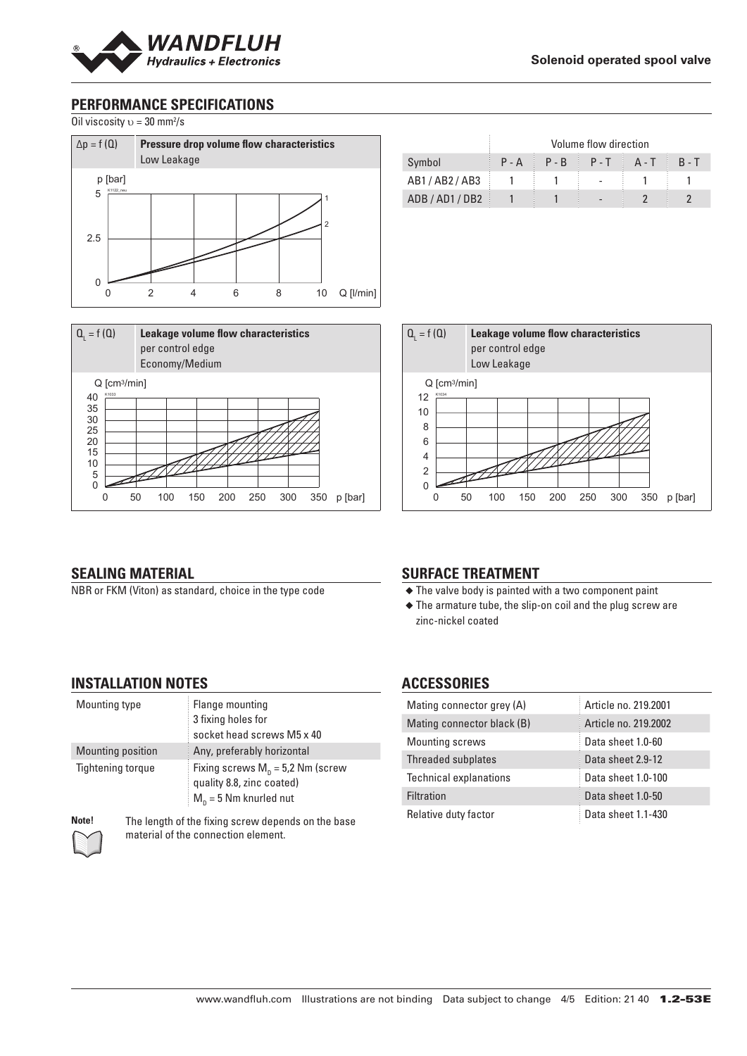

# **PERFORMANCE SPECIFICATIONS**

Oil viscosity  $v = 30$  mm<sup>2</sup>/s





|             | Volume flow direction |  |                         |  |         |
|-------------|-----------------------|--|-------------------------|--|---------|
| Symbol      |                       |  | $P-A$ $P-B$ $P-T$ $A-T$ |  | $R - T$ |
| AB1/AB2/AB3 |                       |  |                         |  |         |
| ADB/AD1/DB2 |                       |  | $\overline{a}$          |  |         |



#### **SEALING MATERIAL**

NBR or FKM (Viton) as standard, choice in the type code

### **SURFACE TREATMENT**

- ◆ The valve body is painted with a two component paint
- ◆ The armature tube, the slip-on coil and the plug screw are zinc-nickel coated

#### **INSTALLATION NOTES**

| Mounting type            | Flange mounting<br>3 fixing holes for<br>socket head screws M5 x 40                                |
|--------------------------|----------------------------------------------------------------------------------------------------|
| Mounting position        | Any, preferably horizontal                                                                         |
| <b>Tightening torque</b> | Fixing screws $M_p = 5.2$ Nm (screw<br>quality 8.8, zinc coated)<br>$M_{\rm n}$ = 5 Nm knurled nut |

**Note!** The length of the fixing screw depends on the base material of the connection element.

# **ACCESSORIES**

| Mating connector grey (A)     | Article no. 219,2001 |
|-------------------------------|----------------------|
| Mating connector black (B)    | Article no. 219,2002 |
| <b>Mounting screws</b>        | Data sheet 1.0-60    |
| Threaded subplates            | Data sheet 2.9-12    |
| <b>Technical explanations</b> | Data sheet 1.0-100   |
| <b>Filtration</b>             | Data sheet 1.0-50    |
| Relative duty factor          | Data sheet 1.1-430   |